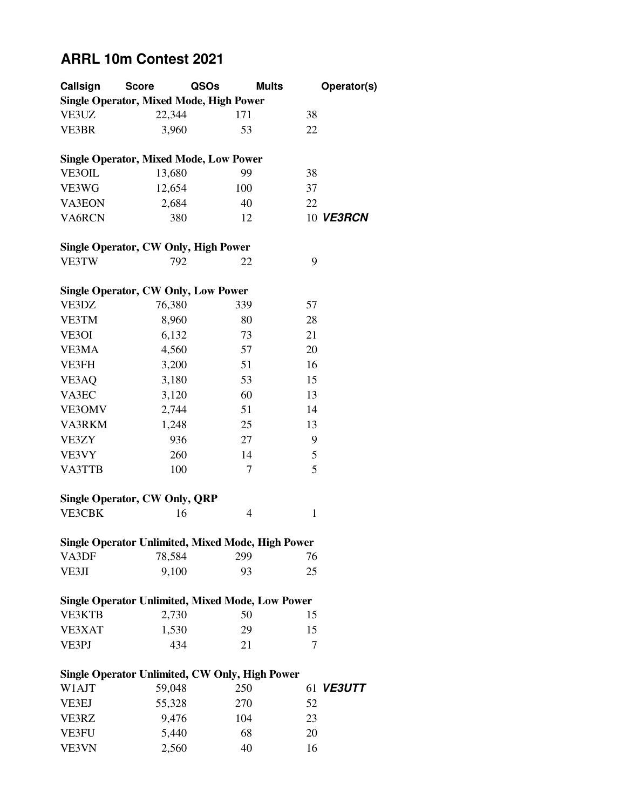## **ARRL 10m Contest 2021**

| Callsign                                    | <b>Score</b>                                                | QSOs | <b>Mults</b> | Operator(s)      |  |  |
|---------------------------------------------|-------------------------------------------------------------|------|--------------|------------------|--|--|
|                                             | <b>Single Operator, Mixed Mode, High Power</b>              |      |              |                  |  |  |
| VE3UZ                                       | 22,344                                                      | 171  | 38           |                  |  |  |
| VE3BR                                       | 3,960                                                       | 53   | 22           |                  |  |  |
|                                             |                                                             |      |              |                  |  |  |
|                                             | <b>Single Operator, Mixed Mode, Low Power</b>               |      |              |                  |  |  |
| VE3OIL                                      | 13,680                                                      | 99   | 38           |                  |  |  |
| VE3WG                                       | 12,654                                                      | 100  | 37           |                  |  |  |
| <b>VA3EON</b>                               | 2,684                                                       | 40   | 22           |                  |  |  |
| VA6RCN                                      | 380                                                         | 12   |              | 10 VE3RCN        |  |  |
|                                             |                                                             |      |              |                  |  |  |
| <b>Single Operator, CW Only, High Power</b> |                                                             |      |              |                  |  |  |
| VE3TW                                       | 792                                                         | 22   | 9            |                  |  |  |
|                                             |                                                             |      |              |                  |  |  |
|                                             | <b>Single Operator, CW Only, Low Power</b>                  |      |              |                  |  |  |
| VE3DZ                                       | 76,380                                                      | 339  | 57           |                  |  |  |
| VE3TM                                       | 8,960                                                       | 80   | 28           |                  |  |  |
| VE3OI                                       | 6,132                                                       | 73   | 21           |                  |  |  |
| VE3MA                                       | 4,560                                                       | 57   | 20           |                  |  |  |
| VE3FH                                       | 3,200                                                       | 51   | 16           |                  |  |  |
| VE3AQ                                       | 3,180                                                       | 53   | 15           |                  |  |  |
| VA3EC                                       | 3,120                                                       | 60   | 13           |                  |  |  |
| VE3OMV                                      | 2,744                                                       | 51   | 14           |                  |  |  |
| VA3RKM                                      | 1,248                                                       | 25   | 13           |                  |  |  |
| VE3ZY                                       | 936                                                         | 27   | 9            |                  |  |  |
| VE3VY                                       | 260                                                         | 14   | 5            |                  |  |  |
| VA3TTB                                      | 100                                                         | 7    | 5            |                  |  |  |
|                                             |                                                             |      |              |                  |  |  |
|                                             | <b>Single Operator, CW Only, QRP</b>                        |      |              |                  |  |  |
| <b>VE3CBK</b>                               | 16                                                          | 4    | 1            |                  |  |  |
|                                             |                                                             |      |              |                  |  |  |
| VA3DF                                       | Single Operator Unlimited, Mixed Mode, High Power<br>78,584 | 299  | 76           |                  |  |  |
|                                             | 9,100                                                       | 93   | 25           |                  |  |  |
| VE3JI                                       |                                                             |      |              |                  |  |  |
|                                             | <b>Single Operator Unlimited, Mixed Mode, Low Power</b>     |      |              |                  |  |  |
| <b>VE3KTB</b>                               | 2,730                                                       | 50   | 15           |                  |  |  |
| VE3XAT                                      | 1,530                                                       | 29   | 15           |                  |  |  |
| VE3PJ                                       | 434                                                         | 21   | 7            |                  |  |  |
|                                             |                                                             |      |              |                  |  |  |
|                                             | Single Operator Unlimited, CW Only, High Power              |      |              |                  |  |  |
| W1AJT                                       | 59,048                                                      | 250  |              | 61 <b>VE3UTT</b> |  |  |
| VE3EJ                                       | 55,328                                                      | 270  | 52           |                  |  |  |
| VE3RZ                                       | 9,476                                                       | 104  | 23           |                  |  |  |
| VE3FU                                       | 5,440                                                       | 68   | 20           |                  |  |  |
| VE3VN                                       | 2,560                                                       | 40   | 16           |                  |  |  |